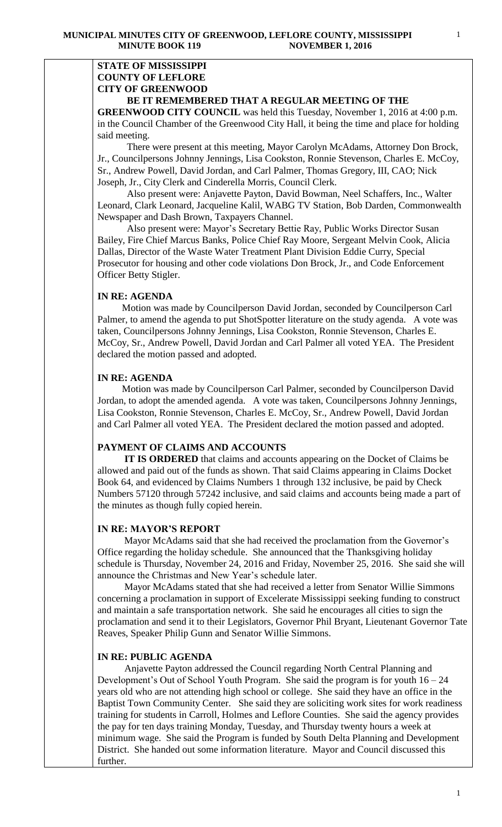#### **STATE OF MISSISSIPPI COUNTY OF LEFLORE CITY OF GREENWOOD BE IT REMEMBERED THAT A REGULAR MEETING OF THE**

**GREENWOOD CITY COUNCIL** was held this Tuesday, November 1, 2016 at 4:00 p.m. in the Council Chamber of the Greenwood City Hall, it being the time and place for holding said meeting.

There were present at this meeting, Mayor Carolyn McAdams, Attorney Don Brock, Jr., Councilpersons Johnny Jennings, Lisa Cookston, Ronnie Stevenson, Charles E. McCoy, Sr., Andrew Powell, David Jordan, and Carl Palmer, Thomas Gregory, III, CAO; Nick Joseph, Jr., City Clerk and Cinderella Morris, Council Clerk.

 Also present were: Anjavette Payton, David Bowman, Neel Schaffers, Inc., Walter Leonard, Clark Leonard, Jacqueline Kalil, WABG TV Station, Bob Darden, Commonwealth Newspaper and Dash Brown, Taxpayers Channel.

 Also present were: Mayor's Secretary Bettie Ray, Public Works Director Susan Bailey, Fire Chief Marcus Banks, Police Chief Ray Moore, Sergeant Melvin Cook, Alicia Dallas, Director of the Waste Water Treatment Plant Division Eddie Curry, Special Prosecutor for housing and other code violations Don Brock, Jr., and Code Enforcement Officer Betty Stigler.

### **IN RE: AGENDA**

 Motion was made by Councilperson David Jordan, seconded by Councilperson Carl Palmer, to amend the agenda to put ShotSpotter literature on the study agenda. A vote was taken, Councilpersons Johnny Jennings, Lisa Cookston, Ronnie Stevenson, Charles E. McCoy, Sr., Andrew Powell, David Jordan and Carl Palmer all voted YEA. The President declared the motion passed and adopted.

## **IN RE: AGENDA**

 Motion was made by Councilperson Carl Palmer, seconded by Councilperson David Jordan, to adopt the amended agenda. A vote was taken, Councilpersons Johnny Jennings, Lisa Cookston, Ronnie Stevenson, Charles E. McCoy, Sr., Andrew Powell, David Jordan and Carl Palmer all voted YEA. The President declared the motion passed and adopted.

## **PAYMENT OF CLAIMS AND ACCOUNTS**

 **IT IS ORDERED** that claims and accounts appearing on the Docket of Claims be allowed and paid out of the funds as shown. That said Claims appearing in Claims Docket Book 64, and evidenced by Claims Numbers 1 through 132 inclusive, be paid by Check Numbers 57120 through 57242 inclusive, and said claims and accounts being made a part of the minutes as though fully copied herein.

#### **IN RE: MAYOR'S REPORT**

 Mayor McAdams said that she had received the proclamation from the Governor's Office regarding the holiday schedule. She announced that the Thanksgiving holiday schedule is Thursday, November 24, 2016 and Friday, November 25, 2016. She said she will announce the Christmas and New Year's schedule later.

 Mayor McAdams stated that she had received a letter from Senator Willie Simmons concerning a proclamation in support of Excelerate Mississippi seeking funding to construct and maintain a safe transportation network. She said he encourages all cities to sign the proclamation and send it to their Legislators, Governor Phil Bryant, Lieutenant Governor Tate Reaves, Speaker Philip Gunn and Senator Willie Simmons.

#### **IN RE: PUBLIC AGENDA**

 Anjavette Payton addressed the Council regarding North Central Planning and Development's Out of School Youth Program. She said the program is for youth 16 – 24 years old who are not attending high school or college. She said they have an office in the Baptist Town Community Center. She said they are soliciting work sites for work readiness training for students in Carroll, Holmes and Leflore Counties. She said the agency provides the pay for ten days training Monday, Tuesday, and Thursday twenty hours a week at minimum wage. She said the Program is funded by South Delta Planning and Development District. She handed out some information literature. Mayor and Council discussed this further.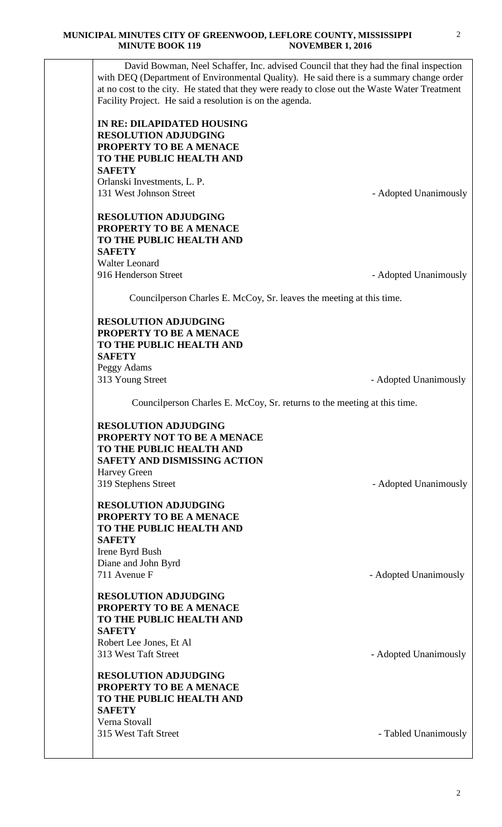David Bowman, Neel Schaffer, Inc. advised Council that they had the final inspection with DEQ (Department of Environmental Quality). He said there is a summary change order at no cost to the city. He stated that they were ready to close out the Waste Water Treatment Facility Project. He said a resolution is on the agenda.

**IN RE: DILAPIDATED HOUSING RESOLUTION ADJUDGING PROPERTY TO BE A MENACE TO THE PUBLIC HEALTH AND SAFETY** Orlanski Investments, L. P.

131 West Johnson Street - Adopted Unanimously

# **RESOLUTION ADJUDGING PROPERTY TO BE A MENACE TO THE PUBLIC HEALTH AND SAFETY** Walter Leonard

916 Henderson Street **- Adopted Unanimously** 

Councilperson Charles E. McCoy, Sr. leaves the meeting at this time.

### **RESOLUTION ADJUDGING PROPERTY TO BE A MENACE TO THE PUBLIC HEALTH AND SAFETY** Peggy Adams 313 Young Street- Adopted Unanimously

Councilperson Charles E. McCoy, Sr. returns to the meeting at this time.

**RESOLUTION ADJUDGING PROPERTY NOT TO BE A MENACE TO THE PUBLIC HEALTH AND SAFETY AND DISMISSING ACTION**  Harvey Green 319 Stephens Street - Adopted Unanimously

**RESOLUTION ADJUDGING PROPERTY TO BE A MENACE TO THE PUBLIC HEALTH AND SAFETY** Irene Byrd Bush Diane and John Byrd 711 Avenue F - Adopted Unanimously

**RESOLUTION ADJUDGING PROPERTY TO BE A MENACE TO THE PUBLIC HEALTH AND SAFETY** Robert Lee Jones, Et Al 313 West Taft Street - Adopted Unanimously

**RESOLUTION ADJUDGING PROPERTY TO BE A MENACE TO THE PUBLIC HEALTH AND SAFETY** Verna Stovall 315 West Taft Street **- Tabled Unanimously** 

 $\mathfrak{D}$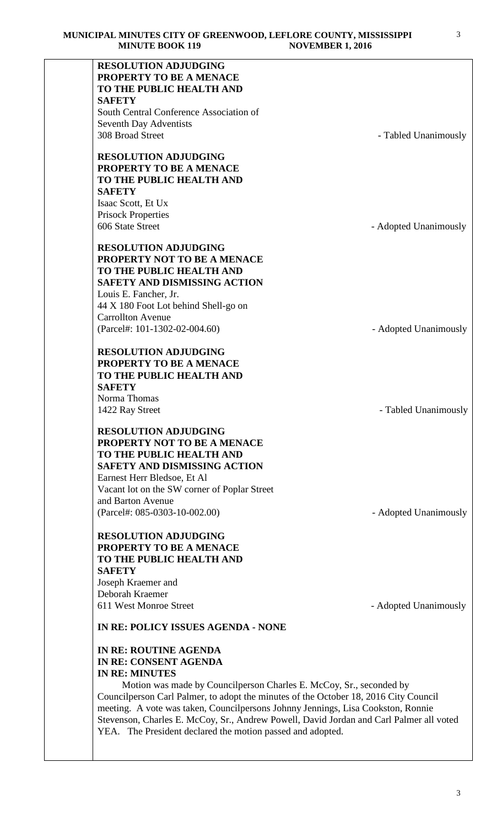| <b>RESOLUTION ADJUDGING</b>                                                             |                       |
|-----------------------------------------------------------------------------------------|-----------------------|
| <b>PROPERTY TO BE A MENACE</b><br>TO THE PUBLIC HEALTH AND                              |                       |
| <b>SAFETY</b>                                                                           |                       |
| South Central Conference Association of                                                 |                       |
| Seventh Day Adventists                                                                  |                       |
| 308 Broad Street                                                                        | - Tabled Unanimously  |
|                                                                                         |                       |
| <b>RESOLUTION ADJUDGING</b>                                                             |                       |
| PROPERTY TO BE A MENACE<br>TO THE PUBLIC HEALTH AND                                     |                       |
| <b>SAFETY</b>                                                                           |                       |
| Isaac Scott, Et Ux                                                                      |                       |
| <b>Prisock Properties</b>                                                               |                       |
| 606 State Street                                                                        | - Adopted Unanimously |
|                                                                                         |                       |
| <b>RESOLUTION ADJUDGING</b>                                                             |                       |
| PROPERTY NOT TO BE A MENACE<br>TO THE PUBLIC HEALTH AND                                 |                       |
| <b>SAFETY AND DISMISSING ACTION</b>                                                     |                       |
| Louis E. Fancher, Jr.                                                                   |                       |
| 44 X 180 Foot Lot behind Shell-go on                                                    |                       |
| <b>Carrollton Avenue</b>                                                                |                       |
| (Parcel#: 101-1302-02-004.60)                                                           | - Adopted Unanimously |
|                                                                                         |                       |
| <b>RESOLUTION ADJUDGING</b><br>PROPERTY TO BE A MENACE                                  |                       |
| TO THE PUBLIC HEALTH AND                                                                |                       |
| <b>SAFETY</b>                                                                           |                       |
| Norma Thomas                                                                            |                       |
| 1422 Ray Street                                                                         | - Tabled Unanimously  |
| <b>RESOLUTION ADJUDGING</b>                                                             |                       |
| PROPERTY NOT TO BE A MENACE                                                             |                       |
| TO THE PUBLIC HEALTH AND                                                                |                       |
| <b>SAFETY AND DISMISSING ACTION</b>                                                     |                       |
| Earnest Herr Bledsoe, Et Al                                                             |                       |
| Vacant lot on the SW corner of Poplar Street                                            |                       |
| and Barton Avenue                                                                       |                       |
| (Parcel#: 085-0303-10-002.00)                                                           | - Adopted Unanimously |
| <b>RESOLUTION ADJUDGING</b>                                                             |                       |
| PROPERTY TO BE A MENACE                                                                 |                       |
| TO THE PUBLIC HEALTH AND                                                                |                       |
| <b>SAFETY</b>                                                                           |                       |
| Joseph Kraemer and                                                                      |                       |
| Deborah Kraemer                                                                         |                       |
| 611 West Monroe Street                                                                  | - Adopted Unanimously |
| IN RE: POLICY ISSUES AGENDA - NONE                                                      |                       |
| IN RE: ROUTINE AGENDA                                                                   |                       |
| <b>IN RE: CONSENT AGENDA</b>                                                            |                       |
| <b>IN RE: MINUTES</b>                                                                   |                       |
| Motion was made by Councilperson Charles E. McCoy, Sr., seconded by                     |                       |
| Councilperson Carl Palmer, to adopt the minutes of the October 18, 2016 City Council    |                       |
| meeting. A vote was taken, Councilpersons Johnny Jennings, Lisa Cookston, Ronnie        |                       |
| Stevenson, Charles E. McCoy, Sr., Andrew Powell, David Jordan and Carl Palmer all voted |                       |

YEA. The President declared the motion passed and adopted.

3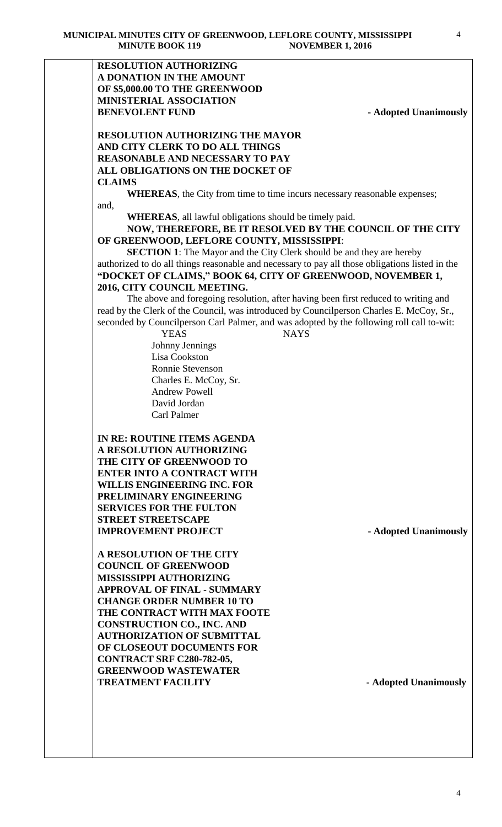### **RESOLUTION AUTHORIZING A DONATION IN THE AMOUNT OF \$5,000.00 TO THE GREENWOOD MINISTERIAL ASSOCIATION BENEVOLENT FUND** - **Adopted Unanimously**

### **RESOLUTION AUTHORIZING THE MAYOR AND CITY CLERK TO DO ALL THINGS REASONABLE AND NECESSARY TO PAY ALL OBLIGATIONS ON THE DOCKET OF CLAIMS**

**WHEREAS**, the City from time to time incurs necessary reasonable expenses; and,

**WHEREAS**, all lawful obligations should be timely paid.

**NOW, THEREFORE, BE IT RESOLVED BY THE COUNCIL OF THE CITY OF GREENWOOD, LEFLORE COUNTY, MISSISSIPPI**:

**SECTION 1**: The Mayor and the City Clerk should be and they are hereby authorized to do all things reasonable and necessary to pay all those obligations listed in the **"DOCKET OF CLAIMS," BOOK 64, CITY OF GREENWOOD, NOVEMBER 1, 2016, CITY COUNCIL MEETING.**

The above and foregoing resolution, after having been first reduced to writing and read by the Clerk of the Council, was introduced by Councilperson Charles E. McCoy, Sr., seconded by Councilperson Carl Palmer, and was adopted by the following roll call to-wit:

> YEAS NAYS Johnny Jennings Lisa Cookston Ronnie Stevenson Charles E. McCoy, Sr. Andrew Powell David Jordan Carl Palmer

**IN RE: ROUTINE ITEMS AGENDA A RESOLUTION AUTHORIZING THE CITY OF GREENWOOD TO ENTER INTO A CONTRACT WITH WILLIS ENGINEERING INC. FOR PRELIMINARY ENGINEERING SERVICES FOR THE FULTON STREET STREETSCAPE IMPROVEMENT PROJECT - Adopted Unanimously** 

**A RESOLUTION OF THE CITY COUNCIL OF GREENWOOD MISSISSIPPI AUTHORIZING APPROVAL OF FINAL - SUMMARY CHANGE ORDER NUMBER 10 TO THE CONTRACT WITH MAX FOOTE CONSTRUCTION CO., INC. AND AUTHORIZATION OF SUBMITTAL OF CLOSEOUT DOCUMENTS FOR CONTRACT SRF C280-782-05, GREENWOOD WASTEWATER TREATMENT FACILITY - Adopted Unanimously**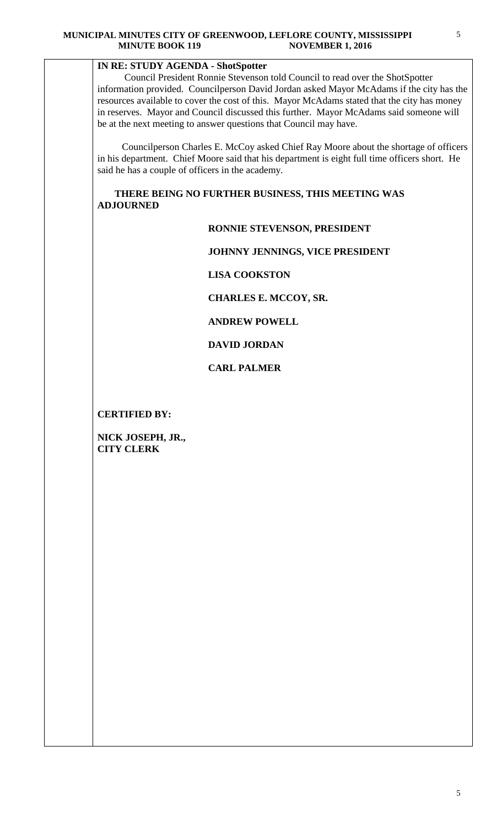## **IN RE: STUDY AGENDA - ShotSpotter**

Council President Ronnie Stevenson told Council to read over the ShotSpotter information provided. Councilperson David Jordan asked Mayor McAdams if the city has the resources available to cover the cost of this. Mayor McAdams stated that the city has money in reserves. Mayor and Council discussed this further. Mayor McAdams said someone will be at the next meeting to answer questions that Council may have.

 Councilperson Charles E. McCoy asked Chief Ray Moore about the shortage of officers in his department. Chief Moore said that his department is eight full time officers short. He said he has a couple of officers in the academy.

 **THERE BEING NO FURTHER BUSINESS, THIS MEETING WAS ADJOURNED** 

#### **RONNIE STEVENSON, PRESIDENT**

 **JOHNNY JENNINGS, VICE PRESIDENT**

 **LISA COOKSTON**

 **CHARLES E. MCCOY, SR.** 

 **ANDREW POWELL**

#### **DAVID JORDAN**

 **CARL PALMER**

**CERTIFIED BY:**

**NICK JOSEPH, JR., CITY CLERK**